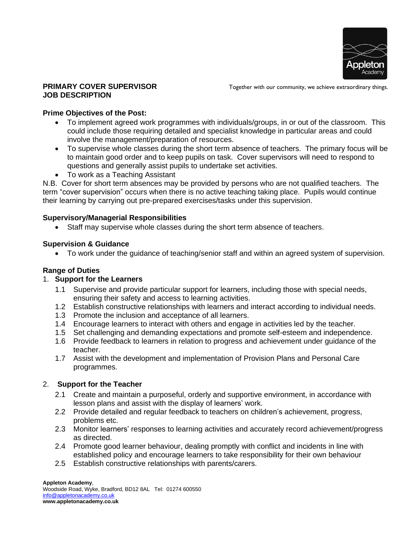

#### **PRIMARY COVER SUPERVISOR JOB DESCRIPTION**

Together with our community, we achieve extraordinary things.

### **Prime Objectives of the Post:**

- To implement agreed work programmes with individuals/groups, in or out of the classroom. This could include those requiring detailed and specialist knowledge in particular areas and could involve the management/preparation of resources.
- To supervise whole classes during the short term absence of teachers. The primary focus will be to maintain good order and to keep pupils on task. Cover supervisors will need to respond to questions and generally assist pupils to undertake set activities.
- To work as a Teaching Assistant

N.B. Cover for short term absences may be provided by persons who are not qualified teachers. The term "cover supervision" occurs when there is no active teaching taking place. Pupils would continue their learning by carrying out pre-prepared exercises/tasks under this supervision.

## **Supervisory/Managerial Responsibilities**

• Staff may supervise whole classes during the short term absence of teachers.

## **Supervision & Guidance**

• To work under the guidance of teaching/senior staff and within an agreed system of supervision.

# **Range of Duties**

#### 1. **Support for the Learners**

- 1.1 Supervise and provide particular support for learners, including those with special needs, ensuring their safety and access to learning activities.
- 1.2 Establish constructive relationships with learners and interact according to individual needs.
- 1.3 Promote the inclusion and acceptance of all learners.
- 1.4 Encourage learners to interact with others and engage in activities led by the teacher.
- 1.5 Set challenging and demanding expectations and promote self-esteem and independence.
- 1.6 Provide feedback to learners in relation to progress and achievement under guidance of the teacher.
- 1.7 Assist with the development and implementation of Provision Plans and Personal Care programmes.

# 2. **Support for the Teacher**

- 2.1 Create and maintain a purposeful, orderly and supportive environment, in accordance with lesson plans and assist with the display of learners' work.
- 2.2 Provide detailed and regular feedback to teachers on children's achievement, progress, problems etc.
- 2.3 Monitor learners' responses to learning activities and accurately record achievement/progress as directed.
- 2.4 Promote good learner behaviour, dealing promptly with conflict and incidents in line with established policy and encourage learners to take responsibility for their own behaviour
- 2.5 Establish constructive relationships with parents/carers.

**Appleton Academy**,

Woodside Road, Wyke, Bradford, BD12 8AL Tel: 01274 600550 [info@appletonacademy.co.uk](mailto:info@appletonacademy.co.uk) **www.appletonacademy.co.uk**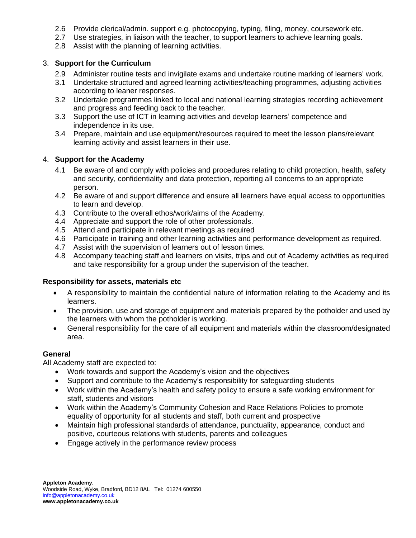- 2.6 Provide clerical/admin. support e.g. photocopying, typing, filing, money, coursework etc.
- 2.7 Use strategies, in liaison with the teacher, to support learners to achieve learning goals.
- 2.8 Assist with the planning of learning activities.

## 3. **Support for the Curriculum**

- 2.9 Administer routine tests and invigilate exams and undertake routine marking of learners' work.
- 3.1 Undertake structured and agreed learning activities/teaching programmes, adjusting activities according to leaner responses.
- 3.2 Undertake programmes linked to local and national learning strategies recording achievement and progress and feeding back to the teacher.
- 3.3 Support the use of ICT in learning activities and develop learners' competence and independence in its use.
- 3.4 Prepare, maintain and use equipment/resources required to meet the lesson plans/relevant learning activity and assist learners in their use.

## 4. **Support for the Academy**

- 4.1 Be aware of and comply with policies and procedures relating to child protection, health, safety and security, confidentiality and data protection, reporting all concerns to an appropriate person.
- 4.2 Be aware of and support difference and ensure all learners have equal access to opportunities to learn and develop.
- 4.3 Contribute to the overall ethos/work/aims of the Academy.
- 4.4 Appreciate and support the role of other professionals.
- 4.5 Attend and participate in relevant meetings as required
- 4.6 Participate in training and other learning activities and performance development as required.
- 4.7 Assist with the supervision of learners out of lesson times.
- 4.8 Accompany teaching staff and learners on visits, trips and out of Academy activities as required and take responsibility for a group under the supervision of the teacher.

#### **Responsibility for assets, materials etc**

- A responsibility to maintain the confidential nature of information relating to the Academy and its learners.
- The provision, use and storage of equipment and materials prepared by the potholder and used by the learners with whom the potholder is working.
- General responsibility for the care of all equipment and materials within the classroom/designated area.

#### **General**

All Academy staff are expected to:

- Work towards and support the Academy's vision and the objectives
- Support and contribute to the Academy's responsibility for safeguarding students
- Work within the Academy's health and safety policy to ensure a safe working environment for staff, students and visitors
- Work within the Academy's Community Cohesion and Race Relations Policies to promote equality of opportunity for all students and staff, both current and prospective
- Maintain high professional standards of attendance, punctuality, appearance, conduct and positive, courteous relations with students, parents and colleagues
- Engage actively in the performance review process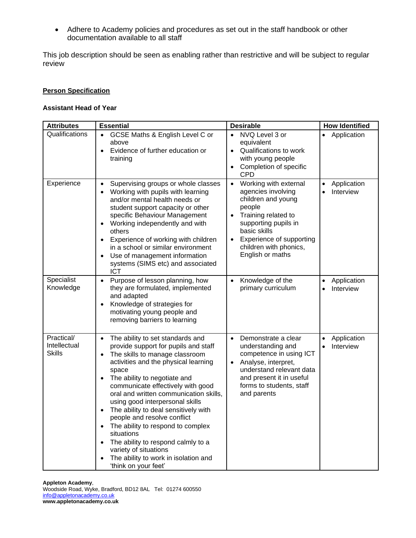• Adhere to Academy policies and procedures as set out in the staff handbook or other documentation available to all staff

This job description should be seen as enabling rather than restrictive and will be subject to regular review

#### **Person Specification**

#### **Assistant Head of Year**

| <b>Attributes</b>                    | <b>Essential</b>                                                                                                                                                                                                                                                                                                                                                                                                                                                                                                                                                                                                           | <b>Desirable</b>                                                                                                                                                                                                                                            | <b>How Identified</b>                              |
|--------------------------------------|----------------------------------------------------------------------------------------------------------------------------------------------------------------------------------------------------------------------------------------------------------------------------------------------------------------------------------------------------------------------------------------------------------------------------------------------------------------------------------------------------------------------------------------------------------------------------------------------------------------------------|-------------------------------------------------------------------------------------------------------------------------------------------------------------------------------------------------------------------------------------------------------------|----------------------------------------------------|
| Qualifications                       | GCSE Maths & English Level C or<br>above<br>Evidence of further education or<br>$\bullet$<br>training                                                                                                                                                                                                                                                                                                                                                                                                                                                                                                                      | NVQ Level 3 or<br>equivalent<br>Qualifications to work<br>$\bullet$<br>with young people<br>Completion of specific<br>CPD                                                                                                                                   | Application<br>$\bullet$                           |
| Experience                           | Supervising groups or whole classes<br>$\bullet$<br>Working with pupils with learning<br>$\bullet$<br>and/or mental health needs or<br>student support capacity or other<br>specific Behaviour Management<br>Working independently and with<br>٠<br>others<br>Experience of working with children<br>$\bullet$<br>in a school or similar environment<br>Use of management information<br>systems (SIMS etc) and associated<br><b>ICT</b>                                                                                                                                                                                   | Working with external<br>$\bullet$<br>agencies involving<br>children and young<br>people<br>Training related to<br>$\bullet$<br>supporting pupils in<br>basic skills<br>Experience of supporting<br>$\bullet$<br>children with phonics,<br>English or maths | Application<br>$\bullet$<br>Interview<br>$\bullet$ |
| Specialist<br>Knowledge              | Purpose of lesson planning, how<br>$\bullet$<br>they are formulated, implemented<br>and adapted<br>Knowledge of strategies for<br>motivating young people and<br>removing barriers to learning                                                                                                                                                                                                                                                                                                                                                                                                                             | Knowledge of the<br>$\bullet$<br>primary curriculum                                                                                                                                                                                                         | Application<br>$\bullet$<br>Interview              |
| Practical/<br>Intellectual<br>Skills | The ability to set standards and<br>$\bullet$<br>provide support for pupils and staff<br>The skills to manage classroom<br>activities and the physical learning<br>space<br>The ability to negotiate and<br>communicate effectively with good<br>oral and written communication skills,<br>using good interpersonal skills<br>The ability to deal sensitively with<br>$\bullet$<br>people and resolve conflict<br>The ability to respond to complex<br>$\bullet$<br>situations<br>The ability to respond calmly to a<br>$\bullet$<br>variety of situations<br>The ability to work in isolation and<br>'think on your feet' | Demonstrate a clear<br>$\bullet$<br>understanding and<br>competence in using ICT<br>Analyse, interpret,<br>$\bullet$<br>understand relevant data<br>and present it in useful<br>forms to students, staff<br>and parents                                     | Application<br>$\bullet$<br>Interview<br>$\bullet$ |

**Appleton Academy**,

Woodside Road, Wyke, Bradford, BD12 8AL Tel: 01274 600550 [info@appletonacademy.co.uk](mailto:info@appletonacademy.co.uk) **www.appletonacademy.co.uk**